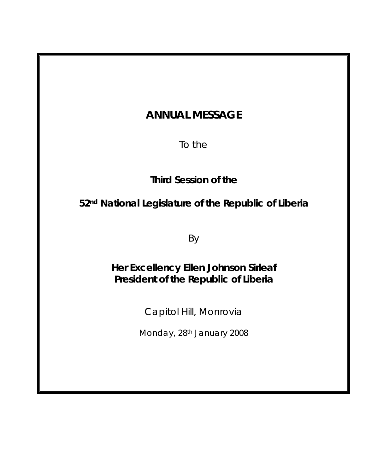# **ANNUAL MESSAGE**

To the

**Third Session of the** 

**52nd National Legislature of the Republic of Liberia** 

By

**Her Excellency Ellen Johnson Sirleaf President of the Republic of Liberia** 

Capitol Hill, Monrovia

Monday, 28th January 2008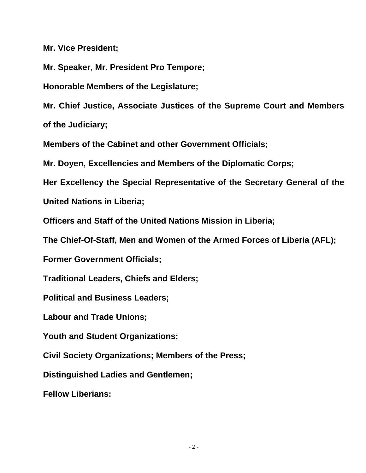**Mr. Vice President;** 

**Mr. Speaker, Mr. President Pro Tempore;** 

**Honorable Members of the Legislature;** 

**Mr. Chief Justice, Associate Justices of the Supreme Court and Members of the Judiciary;** 

**Members of the Cabinet and other Government Officials;** 

**Mr. Doyen, Excellencies and Members of the Diplomatic Corps;** 

**Her Excellency the Special Representative of the Secretary General of the United Nations in Liberia;** 

**Officers and Staff of the United Nations Mission in Liberia;** 

**The Chief-Of-Staff, Men and Women of the Armed Forces of Liberia (AFL);** 

**Former Government Officials;** 

**Traditional Leaders, Chiefs and Elders;** 

**Political and Business Leaders;** 

**Labour and Trade Unions;** 

**Youth and Student Organizations;** 

**Civil Society Organizations; Members of the Press;** 

**Distinguished Ladies and Gentlemen;** 

**Fellow Liberians:**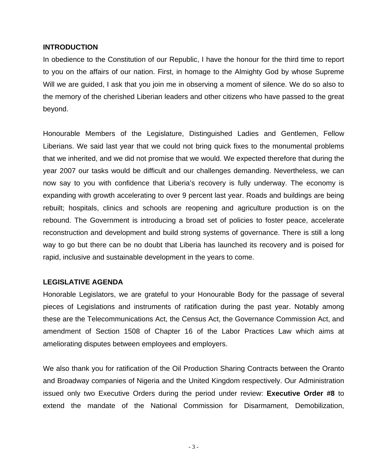## **INTRODUCTION**

In obedience to the Constitution of our Republic, I have the honour for the third time to report to you on the affairs of our nation. First, in homage to the Almighty God by whose Supreme Will we are guided, I ask that you join me in observing a moment of silence. We do so also to the memory of the cherished Liberian leaders and other citizens who have passed to the great beyond.

Honourable Members of the Legislature, Distinguished Ladies and Gentlemen, Fellow Liberians. We said last year that we could not bring quick fixes to the monumental problems that we inherited, and we did not promise that we would. We expected therefore that during the year 2007 our tasks would be difficult and our challenges demanding. Nevertheless, we can now say to you with confidence that Liberia's recovery is fully underway. The economy is expanding with growth accelerating to over 9 percent last year. Roads and buildings are being rebuilt; hospitals, clinics and schools are reopening and agriculture production is on the rebound. The Government is introducing a broad set of policies to foster peace, accelerate reconstruction and development and build strong systems of governance. There is still a long way to go but there can be no doubt that Liberia has launched its recovery and is poised for rapid, inclusive and sustainable development in the years to come.

# **LEGISLATIVE AGENDA**

Honorable Legislators, we are grateful to your Honourable Body for the passage of several pieces of Legislations and instruments of ratification during the past year. Notably among these are the Telecommunications Act, the Census Act, the Governance Commission Act, and amendment of Section 1508 of Chapter 16 of the Labor Practices Law which aims at ameliorating disputes between employees and employers.

We also thank you for ratification of the Oil Production Sharing Contracts between the Oranto and Broadway companies of Nigeria and the United Kingdom respectively. Our Administration issued only two Executive Orders during the period under review: **Executive Order #8** to extend the mandate of the National Commission for Disarmament, Demobilization,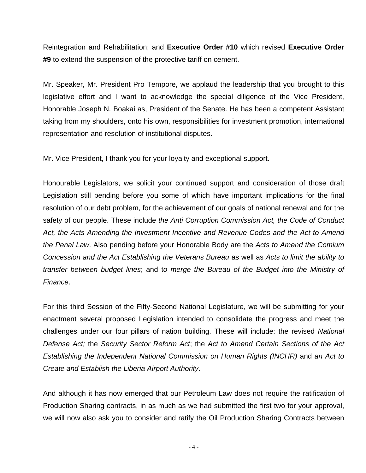Reintegration and Rehabilitation; and **Executive Order #10** which revised **Executive Order #9** to extend the suspension of the protective tariff on cement.

Mr. Speaker, Mr. President Pro Tempore, we applaud the leadership that you brought to this legislative effort and I want to acknowledge the special diligence of the Vice President, Honorable Joseph N. Boakai as, President of the Senate. He has been a competent Assistant taking from my shoulders, onto his own, responsibilities for investment promotion, international representation and resolution of institutional disputes.

Mr. Vice President, I thank you for your loyalty and exceptional support.

Honourable Legislators, we solicit your continued support and consideration of those draft Legislation still pending before you some of which have important implications for the final resolution of our debt problem, for the achievement of our goals of national renewal and for the safety of our people. These include *the Anti Corruption Commission Act, the Code of Conduct Act, the Acts Amending the Investment Incentive and Revenue Codes and the Act to Amend the Penal Law*. Also pending before your Honorable Body are the *Acts to Amend the Comium Concession and the Act Establishing the Veterans Bureau* as well as *Acts to limit the ability to transfer between budget lines*; and t*o merge the Bureau of the Budget into the Ministry of Finance*.

For this third Session of the Fifty-Second National Legislature, we will be submitting for your enactment several proposed Legislation intended to consolidate the progress and meet the challenges under our four pillars of nation building. These will include: the revised *National Defense Act;* the *Security Sector Reform Act*; the *Act to Amend Certain Sections of the Act Establishing the Independent National Commission on Human Rights (INCHR)* and *an Act to Create and Establish the Liberia Airport Authority*.

And although it has now emerged that our Petroleum Law does not require the ratification of Production Sharing contracts, in as much as we had submitted the first two for your approval, we will now also ask you to consider and ratify the Oil Production Sharing Contracts between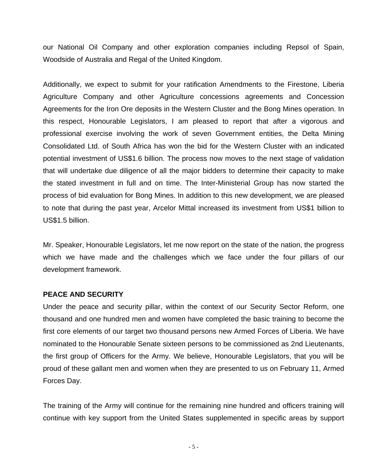our National Oil Company and other exploration companies including Repsol of Spain, Woodside of Australia and Regal of the United Kingdom.

Additionally, we expect to submit for your ratification Amendments to the Firestone, Liberia Agriculture Company and other Agriculture concessions agreements and Concession Agreements for the Iron Ore deposits in the Western Cluster and the Bong Mines operation. In this respect, Honourable Legislators, I am pleased to report that after a vigorous and professional exercise involving the work of seven Government entities, the Delta Mining Consolidated Ltd. of South Africa has won the bid for the Western Cluster with an indicated potential investment of US\$1.6 billion. The process now moves to the next stage of validation that will undertake due diligence of all the major bidders to determine their capacity to make the stated investment in full and on time. The Inter-Ministerial Group has now started the process of bid evaluation for Bong Mines. In addition to this new development, we are pleased to note that during the past year, Arcelor Mittal increased its investment from US\$1 billion to US\$1.5 billion.

Mr. Speaker, Honourable Legislators, let me now report on the state of the nation, the progress which we have made and the challenges which we face under the four pillars of our development framework.

## **PEACE AND SECURITY**

Under the peace and security pillar, within the context of our Security Sector Reform, one thousand and one hundred men and women have completed the basic training to become the first core elements of our target two thousand persons new Armed Forces of Liberia. We have nominated to the Honourable Senate sixteen persons to be commissioned as 2nd Lieutenants, the first group of Officers for the Army. We believe, Honourable Legislators, that you will be proud of these gallant men and women when they are presented to us on February 11, Armed Forces Day.

The training of the Army will continue for the remaining nine hundred and officers training will continue with key support from the United States supplemented in specific areas by support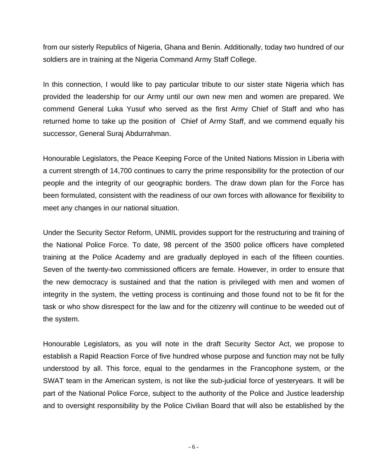from our sisterly Republics of Nigeria, Ghana and Benin. Additionally, today two hundred of our soldiers are in training at the Nigeria Command Army Staff College.

In this connection, I would like to pay particular tribute to our sister state Nigeria which has provided the leadership for our Army until our own new men and women are prepared. We commend General Luka Yusuf who served as the first Army Chief of Staff and who has returned home to take up the position of Chief of Army Staff, and we commend equally his successor, General Suraj Abdurrahman.

Honourable Legislators, the Peace Keeping Force of the United Nations Mission in Liberia with a current strength of 14,700 continues to carry the prime responsibility for the protection of our people and the integrity of our geographic borders. The draw down plan for the Force has been formulated, consistent with the readiness of our own forces with allowance for flexibility to meet any changes in our national situation.

Under the Security Sector Reform, UNMIL provides support for the restructuring and training of the National Police Force. To date, 98 percent of the 3500 police officers have completed training at the Police Academy and are gradually deployed in each of the fifteen counties. Seven of the twenty-two commissioned officers are female. However, in order to ensure that the new democracy is sustained and that the nation is privileged with men and women of integrity in the system, the vetting process is continuing and those found not to be fit for the task or who show disrespect for the law and for the citizenry will continue to be weeded out of the system.

Honourable Legislators, as you will note in the draft Security Sector Act, we propose to establish a Rapid Reaction Force of five hundred whose purpose and function may not be fully understood by all. This force, equal to the gendarmes in the Francophone system, or the SWAT team in the American system, is not like the sub-judicial force of yesteryears. It will be part of the National Police Force, subject to the authority of the Police and Justice leadership and to oversight responsibility by the Police Civilian Board that will also be established by the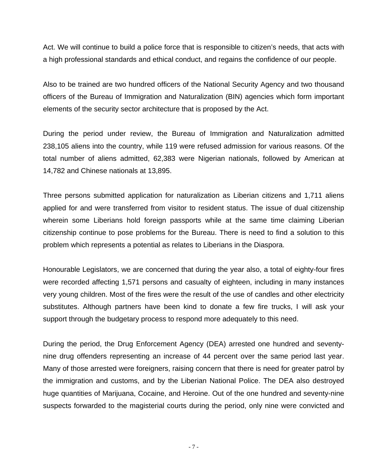Act. We will continue to build a police force that is responsible to citizen's needs, that acts with a high professional standards and ethical conduct, and regains the confidence of our people.

Also to be trained are two hundred officers of the National Security Agency and two thousand officers of the Bureau of Immigration and Naturalization (BIN) agencies which form important elements of the security sector architecture that is proposed by the Act.

During the period under review, the Bureau of Immigration and Naturalization admitted 238,105 aliens into the country, while 119 were refused admission for various reasons. Of the total number of aliens admitted, 62,383 were Nigerian nationals, followed by American at 14,782 and Chinese nationals at 13,895.

Three persons submitted application for naturalization as Liberian citizens and 1,711 aliens applied for and were transferred from visitor to resident status. The issue of dual citizenship wherein some Liberians hold foreign passports while at the same time claiming Liberian citizenship continue to pose problems for the Bureau. There is need to find a solution to this problem which represents a potential as relates to Liberians in the Diaspora.

Honourable Legislators, we are concerned that during the year also, a total of eighty-four fires were recorded affecting 1,571 persons and casualty of eighteen, including in many instances very young children. Most of the fires were the result of the use of candles and other electricity substitutes. Although partners have been kind to donate a few fire trucks, I will ask your support through the budgetary process to respond more adequately to this need.

During the period, the Drug Enforcement Agency (DEA) arrested one hundred and seventynine drug offenders representing an increase of 44 percent over the same period last year. Many of those arrested were foreigners, raising concern that there is need for greater patrol by the immigration and customs, and by the Liberian National Police. The DEA also destroyed huge quantities of Marijuana, Cocaine, and Heroine. Out of the one hundred and seventy-nine suspects forwarded to the magisterial courts during the period, only nine were convicted and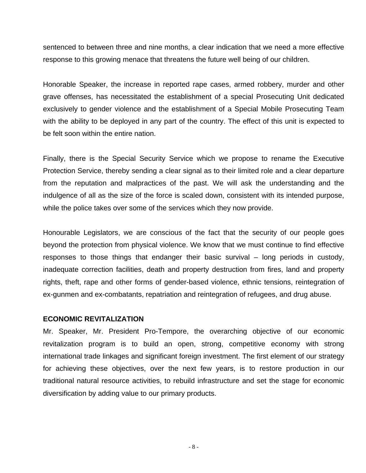sentenced to between three and nine months, a clear indication that we need a more effective response to this growing menace that threatens the future well being of our children.

Honorable Speaker, the increase in reported rape cases, armed robbery, murder and other grave offenses, has necessitated the establishment of a special Prosecuting Unit dedicated exclusively to gender violence and the establishment of a Special Mobile Prosecuting Team with the ability to be deployed in any part of the country. The effect of this unit is expected to be felt soon within the entire nation.

Finally, there is the Special Security Service which we propose to rename the Executive Protection Service, thereby sending a clear signal as to their limited role and a clear departure from the reputation and malpractices of the past. We will ask the understanding and the indulgence of all as the size of the force is scaled down, consistent with its intended purpose, while the police takes over some of the services which they now provide.

Honourable Legislators, we are conscious of the fact that the security of our people goes beyond the protection from physical violence. We know that we must continue to find effective responses to those things that endanger their basic survival – long periods in custody, inadequate correction facilities, death and property destruction from fires, land and property rights, theft, rape and other forms of gender-based violence, ethnic tensions, reintegration of ex-gunmen and ex-combatants, repatriation and reintegration of refugees, and drug abuse.

#### **ECONOMIC REVITALIZATION**

Mr. Speaker, Mr. President Pro-Tempore, the overarching objective of our economic revitalization program is to build an open, strong, competitive economy with strong international trade linkages and significant foreign investment. The first element of our strategy for achieving these objectives, over the next few years, is to restore production in our traditional natural resource activities, to rebuild infrastructure and set the stage for economic diversification by adding value to our primary products.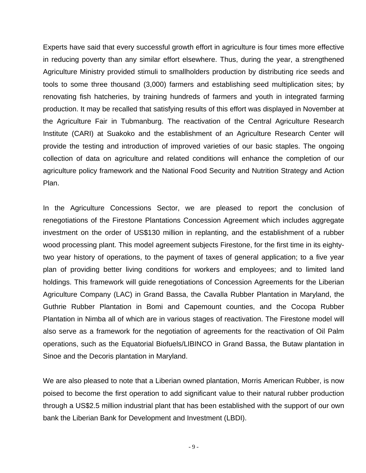Experts have said that every successful growth effort in agriculture is four times more effective in reducing poverty than any similar effort elsewhere. Thus, during the year, a strengthened Agriculture Ministry provided stimuli to smallholders production by distributing rice seeds and tools to some three thousand (3,000) farmers and establishing seed multiplication sites; by renovating fish hatcheries, by training hundreds of farmers and youth in integrated farming production. It may be recalled that satisfying results of this effort was displayed in November at the Agriculture Fair in Tubmanburg. The reactivation of the Central Agriculture Research Institute (CARI) at Suakoko and the establishment of an Agriculture Research Center will provide the testing and introduction of improved varieties of our basic staples. The ongoing collection of data on agriculture and related conditions will enhance the completion of our agriculture policy framework and the National Food Security and Nutrition Strategy and Action Plan.

In the Agriculture Concessions Sector, we are pleased to report the conclusion of renegotiations of the Firestone Plantations Concession Agreement which includes aggregate investment on the order of US\$130 million in replanting, and the establishment of a rubber wood processing plant. This model agreement subjects Firestone, for the first time in its eightytwo year history of operations, to the payment of taxes of general application; to a five year plan of providing better living conditions for workers and employees; and to limited land holdings. This framework will guide renegotiations of Concession Agreements for the Liberian Agriculture Company (LAC) in Grand Bassa, the Cavalla Rubber Plantation in Maryland, the Guthrie Rubber Plantation in Bomi and Capemount counties, and the Cocopa Rubber Plantation in Nimba all of which are in various stages of reactivation. The Firestone model will also serve as a framework for the negotiation of agreements for the reactivation of Oil Palm operations, such as the Equatorial Biofuels/LIBINCO in Grand Bassa, the Butaw plantation in Sinoe and the Decoris plantation in Maryland.

We are also pleased to note that a Liberian owned plantation, Morris American Rubber, is now poised to become the first operation to add significant value to their natural rubber production through a US\$2.5 million industrial plant that has been established with the support of our own bank the Liberian Bank for Development and Investment (LBDI).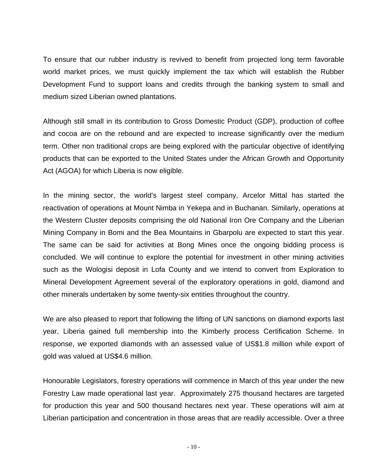To ensure that our rubber industry is revived to benefit from projected long term favorable world market prices, we must quickly implement the tax which will establish the Rubber Development Fund to support loans and credits through the banking system to small and medium sized Liberian owned plantations.

Although still small in its contribution to Gross Domestic Product (GDP), production of coffee and cocoa are on the rebound and are expected to increase significantly over the medium term. Other non traditional crops are being explored with the particular objective of identifying products that can be exported to the United States under the African Growth and Opportunity Act (AGOA) for which Liberia is now eligible.

In the mining sector, the world's largest steel company, Arcelor Mittal has started the reactivation of operations at Mount Nimba in Yekepa and in Buchanan. Similarly, operations at the Western Cluster deposits comprising the old National Iron Ore Company and the Liberian Mining Company in Bomi and the Bea Mountains in Gbarpolu are expected to start this year. The same can be said for activities at Bong Mines once the ongoing bidding process is concluded. We will continue to explore the potential for investment in other mining activities such as the Wologisi deposit in Lofa County and we intend to convert from Exploration to Mineral Development Agreement several of the exploratory operations in gold, diamond and other minerals undertaken by some twenty-six entities throughout the country.

We are also pleased to report that following the lifting of UN sanctions on diamond exports last year, Liberia gained full membership into the Kimberly process Certification Scheme. In response, we exported diamonds with an assessed value of US\$1.8 million while export of gold was valued at US\$4.6 million.

Honourable Legislators, forestry operations will commence in March of this year under the new Forestry Law made operational last year. Approximately 275 thousand hectares are targeted for production this year and 500 thousand hectares next year. These operations will aim at Liberian participation and concentration in those areas that are readily accessible. Over a three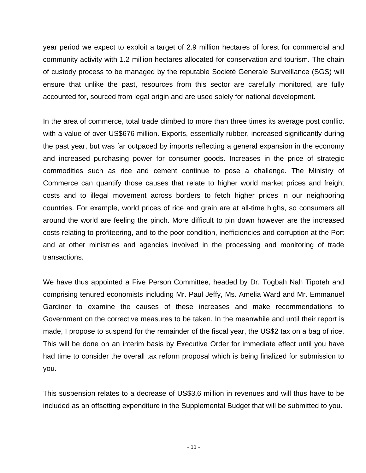year period we expect to exploit a target of 2.9 million hectares of forest for commercial and community activity with 1.2 million hectares allocated for conservation and tourism. The chain of custody process to be managed by the reputable Societé Generale Surveillance (SGS) will ensure that unlike the past, resources from this sector are carefully monitored, are fully accounted for, sourced from legal origin and are used solely for national development.

In the area of commerce, total trade climbed to more than three times its average post conflict with a value of over US\$676 million. Exports, essentially rubber, increased significantly during the past year, but was far outpaced by imports reflecting a general expansion in the economy and increased purchasing power for consumer goods. Increases in the price of strategic commodities such as rice and cement continue to pose a challenge. The Ministry of Commerce can quantify those causes that relate to higher world market prices and freight costs and to illegal movement across borders to fetch higher prices in our neighboring countries. For example, world prices of rice and grain are at all-time highs, so consumers all around the world are feeling the pinch. More difficult to pin down however are the increased costs relating to profiteering, and to the poor condition, inefficiencies and corruption at the Port and at other ministries and agencies involved in the processing and monitoring of trade transactions.

We have thus appointed a Five Person Committee, headed by Dr. Togbah Nah Tipoteh and comprising tenured economists including Mr. Paul Jeffy, Ms. Amelia Ward and Mr. Emmanuel Gardiner to examine the causes of these increases and make recommendations to Government on the corrective measures to be taken. In the meanwhile and until their report is made, I propose to suspend for the remainder of the fiscal year, the US\$2 tax on a bag of rice. This will be done on an interim basis by Executive Order for immediate effect until you have had time to consider the overall tax reform proposal which is being finalized for submission to you.

This suspension relates to a decrease of US\$3.6 million in revenues and will thus have to be included as an offsetting expenditure in the Supplemental Budget that will be submitted to you.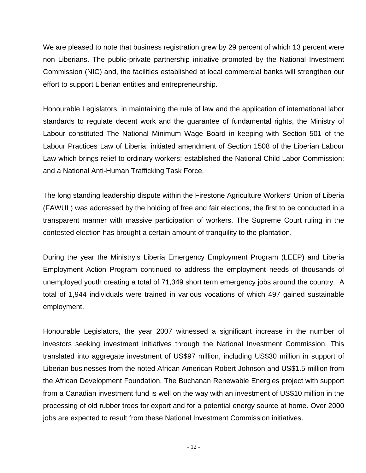We are pleased to note that business registration grew by 29 percent of which 13 percent were non Liberians. The public-private partnership initiative promoted by the National Investment Commission (NIC) and, the facilities established at local commercial banks will strengthen our effort to support Liberian entities and entrepreneurship.

Honourable Legislators, in maintaining the rule of law and the application of international labor standards to regulate decent work and the guarantee of fundamental rights, the Ministry of Labour constituted The National Minimum Wage Board in keeping with Section 501 of the Labour Practices Law of Liberia; initiated amendment of Section 1508 of the Liberian Labour Law which brings relief to ordinary workers; established the National Child Labor Commission; and a National Anti-Human Trafficking Task Force.

The long standing leadership dispute within the Firestone Agriculture Workers' Union of Liberia (FAWUL) was addressed by the holding of free and fair elections, the first to be conducted in a transparent manner with massive participation of workers. The Supreme Court ruling in the contested election has brought a certain amount of tranquility to the plantation.

During the year the Ministry's Liberia Emergency Employment Program (LEEP) and Liberia Employment Action Program continued to address the employment needs of thousands of unemployed youth creating a total of 71,349 short term emergency jobs around the country. A total of 1,944 individuals were trained in various vocations of which 497 gained sustainable employment.

Honourable Legislators, the year 2007 witnessed a significant increase in the number of investors seeking investment initiatives through the National Investment Commission. This translated into aggregate investment of US\$97 million, including US\$30 million in support of Liberian businesses from the noted African American Robert Johnson and US\$1.5 million from the African Development Foundation. The Buchanan Renewable Energies project with support from a Canadian investment fund is well on the way with an investment of US\$10 million in the processing of old rubber trees for export and for a potential energy source at home. Over 2000 jobs are expected to result from these National Investment Commission initiatives.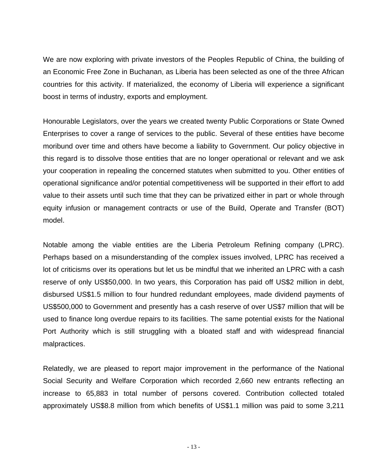We are now exploring with private investors of the Peoples Republic of China, the building of an Economic Free Zone in Buchanan, as Liberia has been selected as one of the three African countries for this activity. If materialized, the economy of Liberia will experience a significant boost in terms of industry, exports and employment.

Honourable Legislators, over the years we created twenty Public Corporations or State Owned Enterprises to cover a range of services to the public. Several of these entities have become moribund over time and others have become a liability to Government. Our policy objective in this regard is to dissolve those entities that are no longer operational or relevant and we ask your cooperation in repealing the concerned statutes when submitted to you. Other entities of operational significance and/or potential competitiveness will be supported in their effort to add value to their assets until such time that they can be privatized either in part or whole through equity infusion or management contracts or use of the Build, Operate and Transfer (BOT) model.

Notable among the viable entities are the Liberia Petroleum Refining company (LPRC). Perhaps based on a misunderstanding of the complex issues involved, LPRC has received a lot of criticisms over its operations but let us be mindful that we inherited an LPRC with a cash reserve of only US\$50,000. In two years, this Corporation has paid off US\$2 million in debt, disbursed US\$1.5 million to four hundred redundant employees, made dividend payments of US\$500,000 to Government and presently has a cash reserve of over US\$7 million that will be used to finance long overdue repairs to its facilities. The same potential exists for the National Port Authority which is still struggling with a bloated staff and with widespread financial malpractices.

Relatedly, we are pleased to report major improvement in the performance of the National Social Security and Welfare Corporation which recorded 2,660 new entrants reflecting an increase to 65,883 in total number of persons covered. Contribution collected totaled approximately US\$8.8 million from which benefits of US\$1.1 million was paid to some 3,211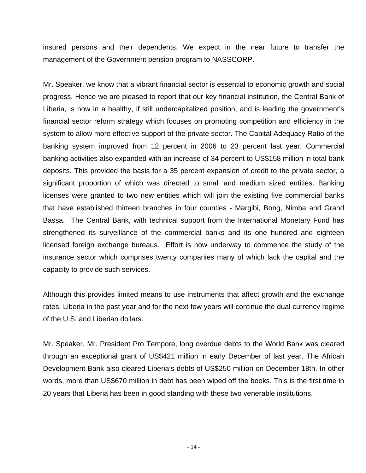insured persons and their dependents. We expect in the near future to transfer the management of the Government pension program to NASSCORP.

Mr. Speaker, we know that a vibrant financial sector is essential to economic growth and social progress. Hence we are pleased to report that our key financial institution, the Central Bank of Liberia, is now in a healthy, if still undercapitalized position, and is leading the government's financial sector reform strategy which focuses on promoting competition and efficiency in the system to allow more effective support of the private sector. The Capital Adequacy Ratio of the banking system improved from 12 percent in 2006 to 23 percent last year. Commercial banking activities also expanded with an increase of 34 percent to US\$158 million in total bank deposits. This provided the basis for a 35 percent expansion of credit to the private sector, a significant proportion of which was directed to small and medium sized entities. Banking licenses were granted to two new entities which will join the existing five commercial banks that have established thirteen branches in four counties - Margibi, Bong, Nimba and Grand Bassa. The Central Bank, with technical support from the International Monetary Fund has strengthened its surveillance of the commercial banks and its one hundred and eighteen licensed foreign exchange bureaus. Effort is now underway to commence the study of the insurance sector which comprises twenty companies many of which lack the capital and the capacity to provide such services.

Although this provides limited means to use instruments that affect growth and the exchange rates, Liberia in the past year and for the next few years will continue the dual currency regime of the U.S. and Liberian dollars.

Mr. Speaker. Mr. President Pro Tempore, long overdue debts to the World Bank was cleared through an exceptional grant of US\$421 million in early December of last year. The African Development Bank also cleared Liberia's debts of US\$250 million on December 18th. In other words, more than US\$670 million in debt has been wiped off the books. This is the first time in 20 years that Liberia has been in good standing with these two venerable institutions.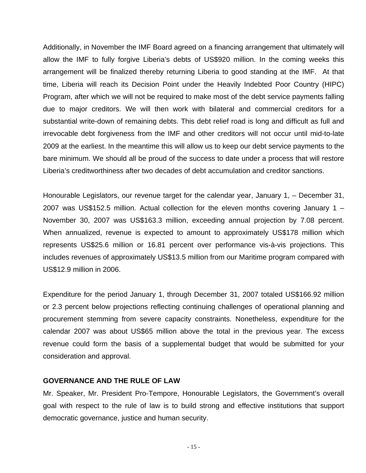Additionally, in November the IMF Board agreed on a financing arrangement that ultimately will allow the IMF to fully forgive Liberia's debts of US\$920 million. In the coming weeks this arrangement will be finalized thereby returning Liberia to good standing at the IMF. At that time, Liberia will reach its Decision Point under the Heavily Indebted Poor Country (HIPC) Program, after which we will not be required to make most of the debt service payments falling due to major creditors. We will then work with bilateral and commercial creditors for a substantial write-down of remaining debts. This debt relief road is long and difficult as full and irrevocable debt forgiveness from the IMF and other creditors will not occur until mid-to-late 2009 at the earliest. In the meantime this will allow us to keep our debt service payments to the bare minimum. We should all be proud of the success to date under a process that will restore Liberia's creditworthiness after two decades of debt accumulation and creditor sanctions.

Honourable Legislators, our revenue target for the calendar year, January 1, – December 31, 2007 was US\$152.5 million. Actual collection for the eleven months covering January 1 – November 30, 2007 was US\$163.3 million, exceeding annual projection by 7.08 percent. When annualized, revenue is expected to amount to approximately US\$178 million which represents US\$25.6 million or 16.81 percent over performance vis-à-vis projections. This includes revenues of approximately US\$13.5 million from our Maritime program compared with US\$12.9 million in 2006.

Expenditure for the period January 1, through December 31, 2007 totaled US\$166.92 million or 2.3 percent below projections reflecting continuing challenges of operational planning and procurement stemming from severe capacity constraints. Nonetheless, expenditure for the calendar 2007 was about US\$65 million above the total in the previous year. The excess revenue could form the basis of a supplemental budget that would be submitted for your consideration and approval.

#### **GOVERNANCE AND THE RULE OF LAW**

Mr. Speaker, Mr. President Pro-Tempore, Honourable Legislators, the Government's overall goal with respect to the rule of law is to build strong and effective institutions that support democratic governance, justice and human security.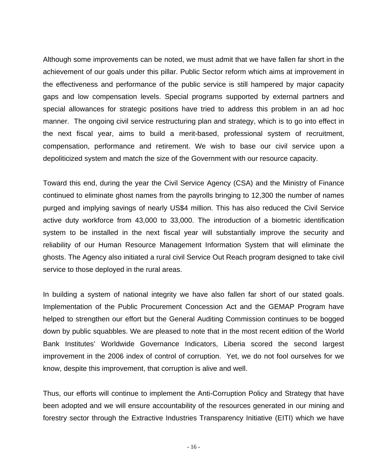Although some improvements can be noted, we must admit that we have fallen far short in the achievement of our goals under this pillar. Public Sector reform which aims at improvement in the effectiveness and performance of the public service is still hampered by major capacity gaps and low compensation levels. Special programs supported by external partners and special allowances for strategic positions have tried to address this problem in an ad hoc manner. The ongoing civil service restructuring plan and strategy, which is to go into effect in the next fiscal year, aims to build a merit-based, professional system of recruitment, compensation, performance and retirement. We wish to base our civil service upon a depoliticized system and match the size of the Government with our resource capacity.

Toward this end, during the year the Civil Service Agency (CSA) and the Ministry of Finance continued to eliminate ghost names from the payrolls bringing to 12,300 the number of names purged and implying savings of nearly US\$4 million. This has also reduced the Civil Service active duty workforce from 43,000 to 33,000. The introduction of a biometric identification system to be installed in the next fiscal year will substantially improve the security and reliability of our Human Resource Management Information System that will eliminate the ghosts. The Agency also initiated a rural civil Service Out Reach program designed to take civil service to those deployed in the rural areas.

In building a system of national integrity we have also fallen far short of our stated goals. Implementation of the Public Procurement Concession Act and the GEMAP Program have helped to strengthen our effort but the General Auditing Commission continues to be bogged down by public squabbles. We are pleased to note that in the most recent edition of the World Bank Institutes' Worldwide Governance Indicators, Liberia scored the second largest improvement in the 2006 index of control of corruption. Yet, we do not fool ourselves for we know, despite this improvement, that corruption is alive and well.

Thus, our efforts will continue to implement the Anti-Corruption Policy and Strategy that have been adopted and we will ensure accountability of the resources generated in our mining and forestry sector through the Extractive Industries Transparency Initiative (EITI) which we have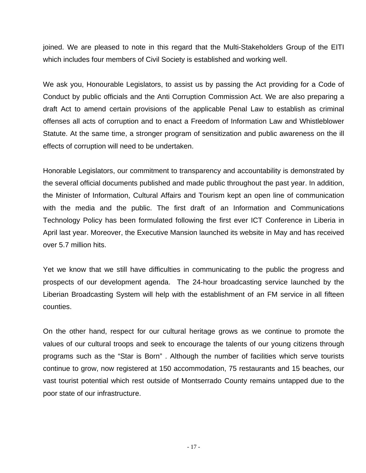joined. We are pleased to note in this regard that the Multi-Stakeholders Group of the EITI which includes four members of Civil Society is established and working well.

We ask you, Honourable Legislators, to assist us by passing the Act providing for a Code of Conduct by public officials and the Anti Corruption Commission Act. We are also preparing a draft Act to amend certain provisions of the applicable Penal Law to establish as criminal offenses all acts of corruption and to enact a Freedom of Information Law and Whistleblower Statute. At the same time, a stronger program of sensitization and public awareness on the ill effects of corruption will need to be undertaken.

Honorable Legislators, our commitment to transparency and accountability is demonstrated by the several official documents published and made public throughout the past year. In addition, the Minister of Information, Cultural Affairs and Tourism kept an open line of communication with the media and the public. The first draft of an Information and Communications Technology Policy has been formulated following the first ever ICT Conference in Liberia in April last year. Moreover, the Executive Mansion launched its website in May and has received over 5.7 million hits.

Yet we know that we still have difficulties in communicating to the public the progress and prospects of our development agenda. The 24-hour broadcasting service launched by the Liberian Broadcasting System will help with the establishment of an FM service in all fifteen counties.

On the other hand, respect for our cultural heritage grows as we continue to promote the values of our cultural troops and seek to encourage the talents of our young citizens through programs such as the "Star is Born" . Although the number of facilities which serve tourists continue to grow, now registered at 150 accommodation, 75 restaurants and 15 beaches, our vast tourist potential which rest outside of Montserrado County remains untapped due to the poor state of our infrastructure.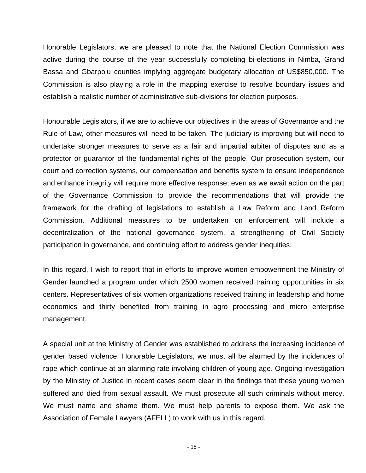Honorable Legislators, we are pleased to note that the National Election Commission was active during the course of the year successfully completing bi-elections in Nimba, Grand Bassa and Gbarpolu counties implying aggregate budgetary allocation of US\$850,000. The Commission is also playing a role in the mapping exercise to resolve boundary issues and establish a realistic number of administrative sub-divisions for election purposes.

Honourable Legislators, if we are to achieve our objectives in the areas of Governance and the Rule of Law, other measures will need to be taken. The judiciary is improving but will need to undertake stronger measures to serve as a fair and impartial arbiter of disputes and as a protector or guarantor of the fundamental rights of the people. Our prosecution system, our court and correction systems, our compensation and benefits system to ensure independence and enhance integrity will require more effective response; even as we await action on the part of the Governance Commission to provide the recommendations that will provide the framework for the drafting of legislations to establish a Law Reform and Land Reform Commission. Additional measures to be undertaken on enforcement will include a decentralization of the national governance system, a strengthening of Civil Society participation in governance, and continuing effort to address gender inequities.

In this regard, I wish to report that in efforts to improve women empowerment the Ministry of Gender launched a program under which 2500 women received training opportunities in six centers. Representatives of six women organizations received training in leadership and home economics and thirty benefited from training in agro processing and micro enterprise management.

A special unit at the Ministry of Gender was established to address the increasing incidence of gender based violence. Honorable Legislators, we must all be alarmed by the incidences of rape which continue at an alarming rate involving children of young age. Ongoing investigation by the Ministry of Justice in recent cases seem clear in the findings that these young women suffered and died from sexual assault. We must prosecute all such criminals without mercy. We must name and shame them. We must help parents to expose them. We ask the Association of Female Lawyers (AFELL) to work with us in this regard.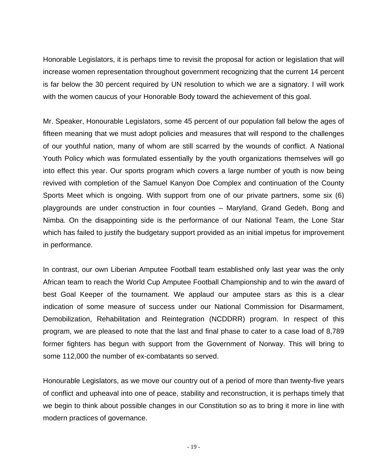Honorable Legislators, it is perhaps time to revisit the proposal for action or legislation that will increase women representation throughout government recognizing that the current 14 percent is far below the 30 percent required by UN resolution to which we are a signatory. I will work with the women caucus of your Honorable Body toward the achievement of this goal.

Mr. Speaker, Honourable Legislators, some 45 percent of our population fall below the ages of fifteen meaning that we must adopt policies and measures that will respond to the challenges of our youthful nation, many of whom are still scarred by the wounds of conflict. A National Youth Policy which was formulated essentially by the youth organizations themselves will go into effect this year. Our sports program which covers a large number of youth is now being revived with completion of the Samuel Kanyon Doe Complex and continuation of the County Sports Meet which is ongoing. With support from one of our private partners, some six (6) playgrounds are under construction in four counties – Maryland, Grand Gedeh, Bong and Nimba. On the disappointing side is the performance of our National Team, the Lone Star which has failed to justify the budgetary support provided as an initial impetus for improvement in performance.

In contrast, our own Liberian Amputee Football team established only last year was the only African team to reach the World Cup Amputee Football Championship and to win the award of best Goal Keeper of the tournament. We applaud our amputee stars as this is a clear indication of some measure of success under our National Commission for Disarmament, Demobilization, Rehabilitation and Reintegration (NCDDRR) program. In respect of this program, we are pleased to note that the last and final phase to cater to a case load of 8,789 former fighters has begun with support from the Government of Norway. This will bring to some 112,000 the number of ex-combatants so served.

Honourable Legislators, as we move our country out of a period of more than twenty-five years of conflict and upheaval into one of peace, stability and reconstruction, it is perhaps timely that we begin to think about possible changes in our Constitution so as to bring it more in line with modern practices of governance.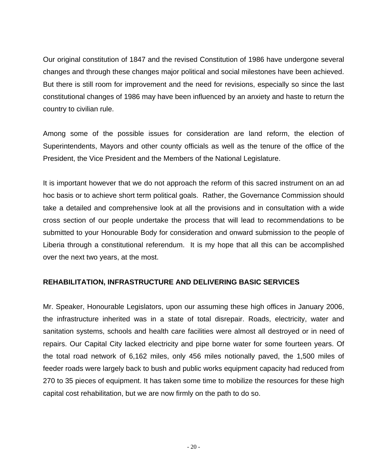Our original constitution of 1847 and the revised Constitution of 1986 have undergone several changes and through these changes major political and social milestones have been achieved. But there is still room for improvement and the need for revisions, especially so since the last constitutional changes of 1986 may have been influenced by an anxiety and haste to return the country to civilian rule.

Among some of the possible issues for consideration are land reform, the election of Superintendents, Mayors and other county officials as well as the tenure of the office of the President, the Vice President and the Members of the National Legislature.

It is important however that we do not approach the reform of this sacred instrument on an ad hoc basis or to achieve short term political goals. Rather, the Governance Commission should take a detailed and comprehensive look at all the provisions and in consultation with a wide cross section of our people undertake the process that will lead to recommendations to be submitted to your Honourable Body for consideration and onward submission to the people of Liberia through a constitutional referendum. It is my hope that all this can be accomplished over the next two years, at the most.

# **REHABILITATION, INFRASTRUCTURE AND DELIVERING BASIC SERVICES**

Mr. Speaker, Honourable Legislators, upon our assuming these high offices in January 2006, the infrastructure inherited was in a state of total disrepair. Roads, electricity, water and sanitation systems, schools and health care facilities were almost all destroyed or in need of repairs. Our Capital City lacked electricity and pipe borne water for some fourteen years. Of the total road network of 6,162 miles, only 456 miles notionally paved, the 1,500 miles of feeder roads were largely back to bush and public works equipment capacity had reduced from 270 to 35 pieces of equipment. It has taken some time to mobilize the resources for these high capital cost rehabilitation, but we are now firmly on the path to do so.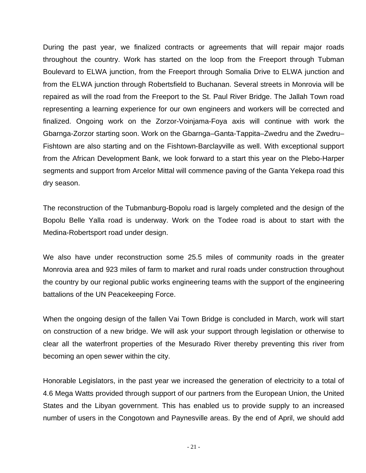During the past year, we finalized contracts or agreements that will repair major roads throughout the country. Work has started on the loop from the Freeport through Tubman Boulevard to ELWA junction, from the Freeport through Somalia Drive to ELWA junction and from the ELWA junction through Robertsfield to Buchanan. Several streets in Monrovia will be repaired as will the road from the Freeport to the St. Paul River Bridge. The Jallah Town road representing a learning experience for our own engineers and workers will be corrected and finalized. Ongoing work on the Zorzor-Voinjama-Foya axis will continue with work the Gbarnga-Zorzor starting soon. Work on the Gbarnga–Ganta-Tappita–Zwedru and the Zwedru– Fishtown are also starting and on the Fishtown-Barclayville as well. With exceptional support from the African Development Bank, we look forward to a start this year on the Plebo-Harper segments and support from Arcelor Mittal will commence paving of the Ganta Yekepa road this dry season.

The reconstruction of the Tubmanburg-Bopolu road is largely completed and the design of the Bopolu Belle Yalla road is underway. Work on the Todee road is about to start with the Medina-Robertsport road under design.

We also have under reconstruction some 25.5 miles of community roads in the greater Monrovia area and 923 miles of farm to market and rural roads under construction throughout the country by our regional public works engineering teams with the support of the engineering battalions of the UN Peacekeeping Force.

When the ongoing design of the fallen Vai Town Bridge is concluded in March, work will start on construction of a new bridge. We will ask your support through legislation or otherwise to clear all the waterfront properties of the Mesurado River thereby preventing this river from becoming an open sewer within the city.

Honorable Legislators, in the past year we increased the generation of electricity to a total of 4.6 Mega Watts provided through support of our partners from the European Union, the United States and the Libyan government. This has enabled us to provide supply to an increased number of users in the Congotown and Paynesville areas. By the end of April, we should add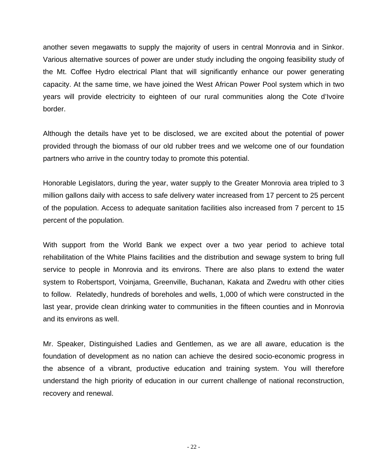another seven megawatts to supply the majority of users in central Monrovia and in Sinkor. Various alternative sources of power are under study including the ongoing feasibility study of the Mt. Coffee Hydro electrical Plant that will significantly enhance our power generating capacity. At the same time, we have joined the West African Power Pool system which in two years will provide electricity to eighteen of our rural communities along the Cote d'Ivoire border.

Although the details have yet to be disclosed, we are excited about the potential of power provided through the biomass of our old rubber trees and we welcome one of our foundation partners who arrive in the country today to promote this potential.

Honorable Legislators, during the year, water supply to the Greater Monrovia area tripled to 3 million gallons daily with access to safe delivery water increased from 17 percent to 25 percent of the population. Access to adequate sanitation facilities also increased from 7 percent to 15 percent of the population.

With support from the World Bank we expect over a two year period to achieve total rehabilitation of the White Plains facilities and the distribution and sewage system to bring full service to people in Monrovia and its environs. There are also plans to extend the water system to Robertsport, Voinjama, Greenville, Buchanan, Kakata and Zwedru with other cities to follow. Relatedly, hundreds of boreholes and wells, 1,000 of which were constructed in the last year, provide clean drinking water to communities in the fifteen counties and in Monrovia and its environs as well.

Mr. Speaker, Distinguished Ladies and Gentlemen, as we are all aware, education is the foundation of development as no nation can achieve the desired socio-economic progress in the absence of a vibrant, productive education and training system. You will therefore understand the high priority of education in our current challenge of national reconstruction, recovery and renewal.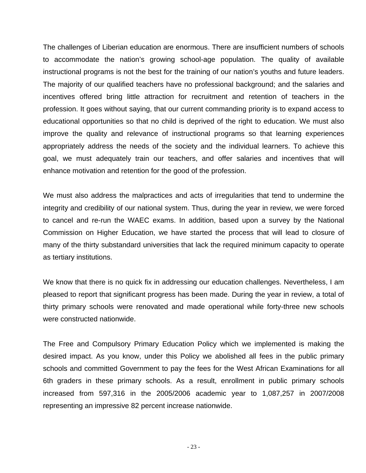The challenges of Liberian education are enormous. There are insufficient numbers of schools to accommodate the nation's growing school-age population. The quality of available instructional programs is not the best for the training of our nation's youths and future leaders. The majority of our qualified teachers have no professional background; and the salaries and incentives offered bring little attraction for recruitment and retention of teachers in the profession. It goes without saying, that our current commanding priority is to expand access to educational opportunities so that no child is deprived of the right to education. We must also improve the quality and relevance of instructional programs so that learning experiences appropriately address the needs of the society and the individual learners. To achieve this goal, we must adequately train our teachers, and offer salaries and incentives that will enhance motivation and retention for the good of the profession.

We must also address the malpractices and acts of irregularities that tend to undermine the integrity and credibility of our national system. Thus, during the year in review, we were forced to cancel and re-run the WAEC exams. In addition, based upon a survey by the National Commission on Higher Education, we have started the process that will lead to closure of many of the thirty substandard universities that lack the required minimum capacity to operate as tertiary institutions.

We know that there is no quick fix in addressing our education challenges. Nevertheless, I am pleased to report that significant progress has been made. During the year in review, a total of thirty primary schools were renovated and made operational while forty-three new schools were constructed nationwide.

The Free and Compulsory Primary Education Policy which we implemented is making the desired impact. As you know, under this Policy we abolished all fees in the public primary schools and committed Government to pay the fees for the West African Examinations for all 6th graders in these primary schools. As a result, enrollment in public primary schools increased from 597,316 in the 2005/2006 academic year to 1,087,257 in 2007/2008 representing an impressive 82 percent increase nationwide.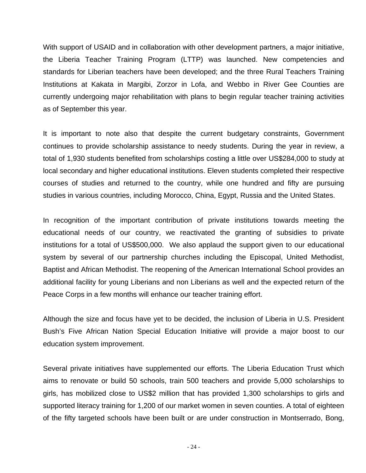With support of USAID and in collaboration with other development partners, a major initiative, the Liberia Teacher Training Program (LTTP) was launched. New competencies and standards for Liberian teachers have been developed; and the three Rural Teachers Training Institutions at Kakata in Margibi, Zorzor in Lofa, and Webbo in River Gee Counties are currently undergoing major rehabilitation with plans to begin regular teacher training activities as of September this year.

It is important to note also that despite the current budgetary constraints, Government continues to provide scholarship assistance to needy students. During the year in review, a total of 1,930 students benefited from scholarships costing a little over US\$284,000 to study at local secondary and higher educational institutions. Eleven students completed their respective courses of studies and returned to the country, while one hundred and fifty are pursuing studies in various countries, including Morocco, China, Egypt, Russia and the United States.

In recognition of the important contribution of private institutions towards meeting the educational needs of our country, we reactivated the granting of subsidies to private institutions for a total of US\$500,000. We also applaud the support given to our educational system by several of our partnership churches including the Episcopal, United Methodist, Baptist and African Methodist. The reopening of the American International School provides an additional facility for young Liberians and non Liberians as well and the expected return of the Peace Corps in a few months will enhance our teacher training effort.

Although the size and focus have yet to be decided, the inclusion of Liberia in U.S. President Bush's Five African Nation Special Education Initiative will provide a major boost to our education system improvement.

Several private initiatives have supplemented our efforts. The Liberia Education Trust which aims to renovate or build 50 schools, train 500 teachers and provide 5,000 scholarships to girls, has mobilized close to US\$2 million that has provided 1,300 scholarships to girls and supported literacy training for 1,200 of our market women in seven counties. A total of eighteen of the fifty targeted schools have been built or are under construction in Montserrado, Bong,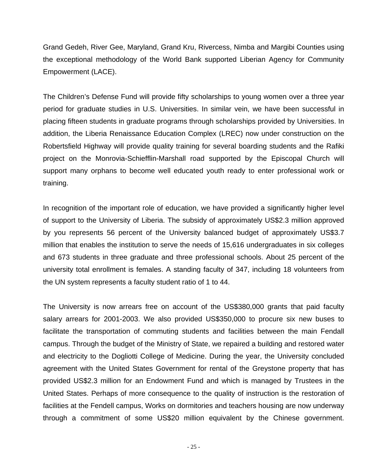Grand Gedeh, River Gee, Maryland, Grand Kru, Rivercess, Nimba and Margibi Counties using the exceptional methodology of the World Bank supported Liberian Agency for Community Empowerment (LACE).

The Children's Defense Fund will provide fifty scholarships to young women over a three year period for graduate studies in U.S. Universities. In similar vein, we have been successful in placing fifteen students in graduate programs through scholarships provided by Universities. In addition, the Liberia Renaissance Education Complex (LREC) now under construction on the Robertsfield Highway will provide quality training for several boarding students and the Rafiki project on the Monrovia-Schiefflin-Marshall road supported by the Episcopal Church will support many orphans to become well educated youth ready to enter professional work or training.

In recognition of the important role of education, we have provided a significantly higher level of support to the University of Liberia. The subsidy of approximately US\$2.3 million approved by you represents 56 percent of the University balanced budget of approximately US\$3.7 million that enables the institution to serve the needs of 15,616 undergraduates in six colleges and 673 students in three graduate and three professional schools. About 25 percent of the university total enrollment is females. A standing faculty of 347, including 18 volunteers from the UN system represents a faculty student ratio of 1 to 44.

The University is now arrears free on account of the US\$380,000 grants that paid faculty salary arrears for 2001-2003. We also provided US\$350,000 to procure six new buses to facilitate the transportation of commuting students and facilities between the main Fendall campus. Through the budget of the Ministry of State, we repaired a building and restored water and electricity to the Dogliotti College of Medicine. During the year, the University concluded agreement with the United States Government for rental of the Greystone property that has provided US\$2.3 million for an Endowment Fund and which is managed by Trustees in the United States. Perhaps of more consequence to the quality of instruction is the restoration of facilities at the Fendell campus, Works on dormitories and teachers housing are now underway through a commitment of some US\$20 million equivalent by the Chinese government.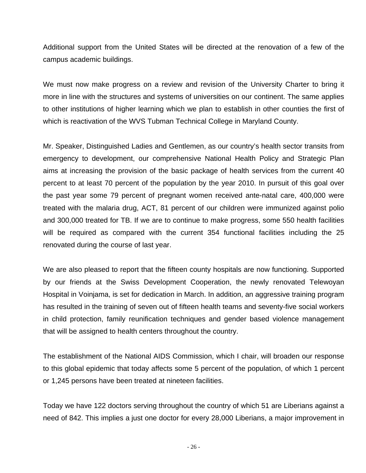Additional support from the United States will be directed at the renovation of a few of the campus academic buildings.

We must now make progress on a review and revision of the University Charter to bring it more in line with the structures and systems of universities on our continent. The same applies to other institutions of higher learning which we plan to establish in other counties the first of which is reactivation of the WVS Tubman Technical College in Maryland County.

Mr. Speaker, Distinguished Ladies and Gentlemen, as our country's health sector transits from emergency to development, our comprehensive National Health Policy and Strategic Plan aims at increasing the provision of the basic package of health services from the current 40 percent to at least 70 percent of the population by the year 2010. In pursuit of this goal over the past year some 79 percent of pregnant women received ante-natal care, 400,000 were treated with the malaria drug, ACT, 81 percent of our children were immunized against polio and 300,000 treated for TB. If we are to continue to make progress, some 550 health facilities will be required as compared with the current 354 functional facilities including the 25 renovated during the course of last year.

We are also pleased to report that the fifteen county hospitals are now functioning. Supported by our friends at the Swiss Development Cooperation, the newly renovated Telewoyan Hospital in Voinjama, is set for dedication in March. In addition, an aggressive training program has resulted in the training of seven out of fifteen health teams and seventy-five social workers in child protection, family reunification techniques and gender based violence management that will be assigned to health centers throughout the country.

The establishment of the National AIDS Commission, which I chair, will broaden our response to this global epidemic that today affects some 5 percent of the population, of which 1 percent or 1,245 persons have been treated at nineteen facilities.

Today we have 122 doctors serving throughout the country of which 51 are Liberians against a need of 842. This implies a just one doctor for every 28,000 Liberians, a major improvement in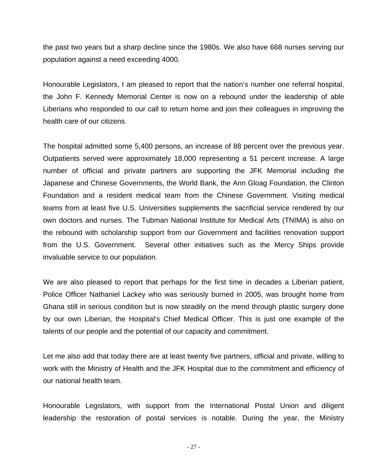the past two years but a sharp decline since the 1980s. We also have 668 nurses serving our population against a need exceeding 4000.

Honourable Legislators, I am pleased to report that the nation's number one referral hospital, the John F. Kennedy Memorial Center is now on a rebound under the leadership of able Liberians who responded to our call to return home and join their colleagues in improving the health care of our citizens.

The hospital admitted some 5,400 persons, an increase of 88 percent over the previous year. Outpatients served were approximately 18,000 representing a 51 percent increase. A large number of official and private partners are supporting the JFK Memorial including the Japanese and Chinese Governments, the World Bank, the Ann Gloag Foundation, the Clinton Foundation and a resident medical team from the Chinese Government. Visiting medical teams from at least five U.S. Universities supplements the sacrificial service rendered by our own doctors and nurses. The Tubman National Institute for Medical Arts (TNIMA) is also on the rebound with scholarship support from our Government and facilities renovation support from the U.S. Government. Several other initiatives such as the Mercy Ships provide invaluable service to our population.

We are also pleased to report that perhaps for the first time in decades a Liberian patient, Police Officer Nathaniel Lackey who was seriously burned in 2005, was brought home from Ghana still in serious condition but is now steadily on the mend through plastic surgery done by our own Liberian, the Hospital's Chief Medical Officer. This is just one example of the talents of our people and the potential of our capacity and commitment.

Let me also add that today there are at least twenty five partners, official and private, willing to work with the Ministry of Health and the JFK Hospital due to the commitment and efficiency of our national health team.

Honourable Legislators, with support from the International Postal Union and diligent leadership the restoration of postal services is notable. During the year, the Ministry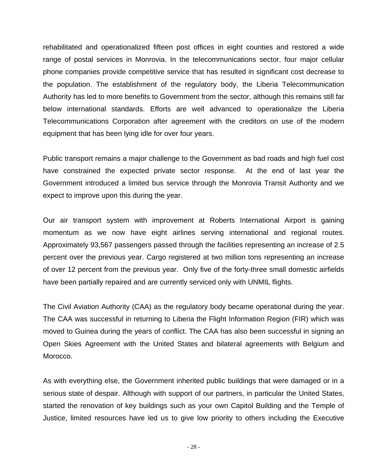rehabilitated and operationalized fifteen post offices in eight counties and restored a wide range of postal services in Monrovia. In the telecommunications sector, four major cellular phone companies provide competitive service that has resulted in significant cost decrease to the population. The establishment of the regulatory body, the Liberia Telecommunication Authority has led to more benefits to Government from the sector, although this remains still far below international standards. Efforts are well advanced to operationalize the Liberia Telecommunications Corporation after agreement with the creditors on use of the modern equipment that has been lying idle for over four years.

Public transport remains a major challenge to the Government as bad roads and high fuel cost have constrained the expected private sector response. At the end of last year the Government introduced a limited bus service through the Monrovia Transit Authority and we expect to improve upon this during the year.

Our air transport system with improvement at Roberts International Airport is gaining momentum as we now have eight airlines serving international and regional routes. Approximately 93,567 passengers passed through the facilities representing an increase of 2.5 percent over the previous year. Cargo registered at two million tons representing an increase of over 12 percent from the previous year. Only five of the forty-three small domestic airfields have been partially repaired and are currently serviced only with UNMIL flights.

The Civil Aviation Authority (CAA) as the regulatory body became operational during the year. The CAA was successful in returning to Liberia the Flight Information Region (FIR) which was moved to Guinea during the years of conflict. The CAA has also been successful in signing an Open Skies Agreement with the United States and bilateral agreements with Belgium and Morocco.

As with everything else, the Government inherited public buildings that were damaged or in a serious state of despair. Although with support of our partners, in particular the United States, started the renovation of key buildings such as your own Capitol Building and the Temple of Justice, limited resources have led us to give low priority to others including the Executive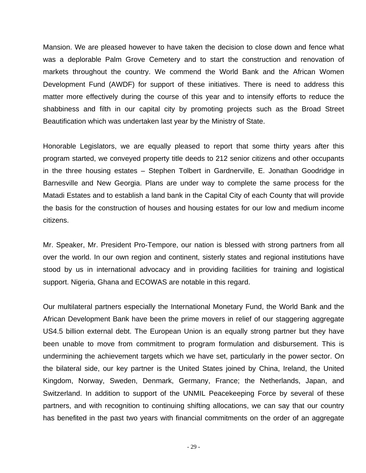Mansion. We are pleased however to have taken the decision to close down and fence what was a deplorable Palm Grove Cemetery and to start the construction and renovation of markets throughout the country. We commend the World Bank and the African Women Development Fund (AWDF) for support of these initiatives. There is need to address this matter more effectively during the course of this year and to intensify efforts to reduce the shabbiness and filth in our capital city by promoting projects such as the Broad Street Beautification which was undertaken last year by the Ministry of State.

Honorable Legislators, we are equally pleased to report that some thirty years after this program started, we conveyed property title deeds to 212 senior citizens and other occupants in the three housing estates – Stephen Tolbert in Gardnerville, E. Jonathan Goodridge in Barnesville and New Georgia. Plans are under way to complete the same process for the Matadi Estates and to establish a land bank in the Capital City of each County that will provide the basis for the construction of houses and housing estates for our low and medium income citizens.

Mr. Speaker, Mr. President Pro-Tempore, our nation is blessed with strong partners from all over the world. In our own region and continent, sisterly states and regional institutions have stood by us in international advocacy and in providing facilities for training and logistical support. Nigeria, Ghana and ECOWAS are notable in this regard.

Our multilateral partners especially the International Monetary Fund, the World Bank and the African Development Bank have been the prime movers in relief of our staggering aggregate US4.5 billion external debt. The European Union is an equally strong partner but they have been unable to move from commitment to program formulation and disbursement. This is undermining the achievement targets which we have set, particularly in the power sector. On the bilateral side, our key partner is the United States joined by China, Ireland, the United Kingdom, Norway, Sweden, Denmark, Germany, France; the Netherlands, Japan, and Switzerland. In addition to support of the UNMIL Peacekeeping Force by several of these partners, and with recognition to continuing shifting allocations, we can say that our country has benefited in the past two years with financial commitments on the order of an aggregate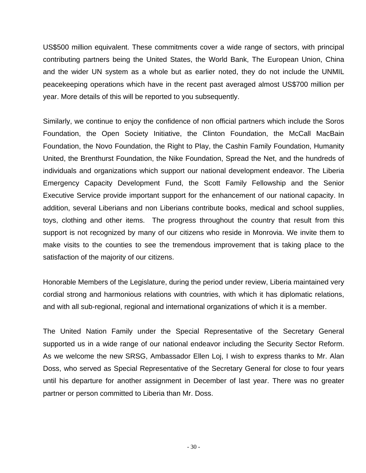US\$500 million equivalent. These commitments cover a wide range of sectors, with principal contributing partners being the United States, the World Bank, The European Union, China and the wider UN system as a whole but as earlier noted, they do not include the UNMIL peacekeeping operations which have in the recent past averaged almost US\$700 million per year. More details of this will be reported to you subsequently.

Similarly, we continue to enjoy the confidence of non official partners which include the Soros Foundation, the Open Society Initiative, the Clinton Foundation, the McCall MacBain Foundation, the Novo Foundation, the Right to Play, the Cashin Family Foundation, Humanity United, the Brenthurst Foundation, the Nike Foundation, Spread the Net, and the hundreds of individuals and organizations which support our national development endeavor. The Liberia Emergency Capacity Development Fund, the Scott Family Fellowship and the Senior Executive Service provide important support for the enhancement of our national capacity. In addition, several Liberians and non Liberians contribute books, medical and school supplies, toys, clothing and other items. The progress throughout the country that result from this support is not recognized by many of our citizens who reside in Monrovia. We invite them to make visits to the counties to see the tremendous improvement that is taking place to the satisfaction of the majority of our citizens.

Honorable Members of the Legislature, during the period under review, Liberia maintained very cordial strong and harmonious relations with countries, with which it has diplomatic relations, and with all sub-regional, regional and international organizations of which it is a member.

The United Nation Family under the Special Representative of the Secretary General supported us in a wide range of our national endeavor including the Security Sector Reform. As we welcome the new SRSG, Ambassador Ellen Loj, I wish to express thanks to Mr. Alan Doss, who served as Special Representative of the Secretary General for close to four years until his departure for another assignment in December of last year. There was no greater partner or person committed to Liberia than Mr. Doss.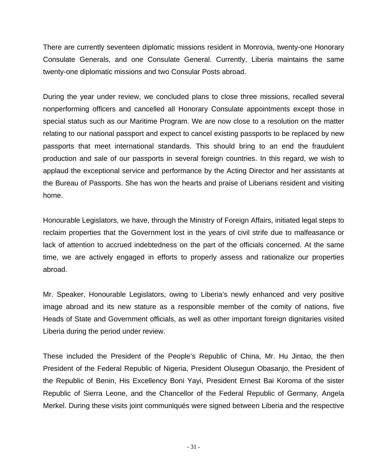There are currently seventeen diplomatic missions resident in Monrovia, twenty-one Honorary Consulate Generals, and one Consulate General. Currently, Liberia maintains the same twenty-one diplomatic missions and two Consular Posts abroad.

During the year under review, we concluded plans to close three missions, recalled several nonperforming officers and cancelled all Honorary Consulate appointments except those in special status such as our Maritime Program. We are now close to a resolution on the matter relating to our national passport and expect to cancel existing passports to be replaced by new passports that meet international standards. This should bring to an end the fraudulent production and sale of our passports in several foreign countries. In this regard, we wish to applaud the exceptional service and performance by the Acting Director and her assistants at the Bureau of Passports. She has won the hearts and praise of Liberians resident and visiting home.

Honourable Legislators, we have, through the Ministry of Foreign Affairs, initiated legal steps to reclaim properties that the Government lost in the years of civil strife due to malfeasance or lack of attention to accrued indebtedness on the part of the officials concerned. At the same time, we are actively engaged in efforts to properly assess and rationalize our properties abroad.

Mr. Speaker, Honourable Legislators, owing to Liberia's newly enhanced and very positive image abroad and its new stature as a responsible member of the comity of nations, five Heads of State and Government officials, as well as other important foreign dignitaries visited Liberia during the period under review.

These included the President of the People's Republic of China, Mr. Hu Jintao, the then President of the Federal Republic of Nigeria, President Olusegun Obasanjo, the President of the Republic of Benin, His Excellency Boni Yayi, President Ernest Bai Koroma of the sister Republic of Sierra Leone, and the Chancellor of the Federal Republic of Germany, Angela Merkel. During these visits joint communiqués were signed between Liberia and the respective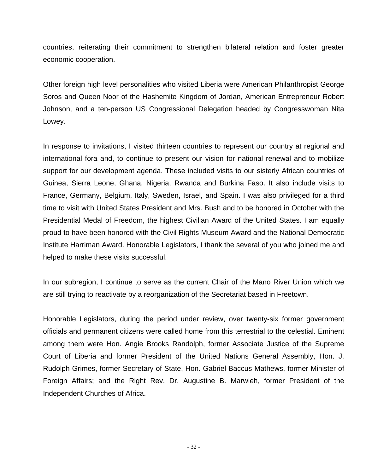countries, reiterating their commitment to strengthen bilateral relation and foster greater economic cooperation.

Other foreign high level personalities who visited Liberia were American Philanthropist George Soros and Queen Noor of the Hashemite Kingdom of Jordan, American Entrepreneur Robert Johnson, and a ten-person US Congressional Delegation headed by Congresswoman Nita Lowey.

In response to invitations, I visited thirteen countries to represent our country at regional and international fora and, to continue to present our vision for national renewal and to mobilize support for our development agenda. These included visits to our sisterly African countries of Guinea, Sierra Leone, Ghana, Nigeria, Rwanda and Burkina Faso. It also include visits to France, Germany, Belgium, Italy, Sweden, Israel, and Spain. I was also privileged for a third time to visit with United States President and Mrs. Bush and to be honored in October with the Presidential Medal of Freedom, the highest Civilian Award of the United States. I am equally proud to have been honored with the Civil Rights Museum Award and the National Democratic Institute Harriman Award. Honorable Legislators, I thank the several of you who joined me and helped to make these visits successful.

In our subregion, I continue to serve as the current Chair of the Mano River Union which we are still trying to reactivate by a reorganization of the Secretariat based in Freetown.

Honorable Legislators, during the period under review, over twenty-six former government officials and permanent citizens were called home from this terrestrial to the celestial. Eminent among them were Hon. Angie Brooks Randolph, former Associate Justice of the Supreme Court of Liberia and former President of the United Nations General Assembly, Hon. J. Rudolph Grimes, former Secretary of State, Hon. Gabriel Baccus Mathews, former Minister of Foreign Affairs; and the Right Rev. Dr. Augustine B. Marwieh, former President of the Independent Churches of Africa.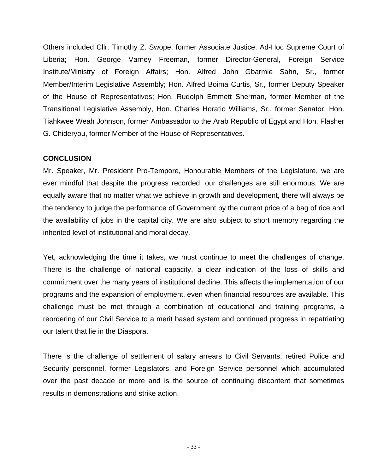Others included Cllr. Timothy Z. Swope, former Associate Justice, Ad-Hoc Supreme Court of Liberia; Hon. George Varney Freeman, former Director-General, Foreign Service Institute/Ministry of Foreign Affairs; Hon. Alfred John Gbarmie Sahn, Sr., former Member/Interim Legislative Assembly; Hon. Alfred Boima Curtis, Sr., former Deputy Speaker of the House of Representatives; Hon. Rudolph Emmett Sherman, former Member of the Transitional Legislative Assembly, Hon. Charles Horatio Williams, Sr., former Senator, Hon. Tiahkwee Weah Johnson, former Ambassador to the Arab Republic of Egypt and Hon. Flasher G. Chideryou, former Member of the House of Representatives.

## **CONCLUSION**

Mr. Speaker, Mr. President Pro-Tempore, Honourable Members of the Legislature, we are ever mindful that despite the progress recorded, our challenges are still enormous. We are equally aware that no matter what we achieve in growth and development, there will always be the tendency to judge the performance of Government by the current price of a bag of rice and the availability of jobs in the capital city. We are also subject to short memory regarding the inherited level of institutional and moral decay.

Yet, acknowledging the time it takes, we must continue to meet the challenges of change. There is the challenge of national capacity, a clear indication of the loss of skills and commitment over the many years of institutional decline. This affects the implementation of our programs and the expansion of employment, even when financial resources are available. This challenge must be met through a combination of educational and training programs, a reordering of our Civil Service to a merit based system and continued progress in repatriating our talent that lie in the Diaspora.

There is the challenge of settlement of salary arrears to Civil Servants, retired Police and Security personnel, former Legislators, and Foreign Service personnel which accumulated over the past decade or more and is the source of continuing discontent that sometimes results in demonstrations and strike action.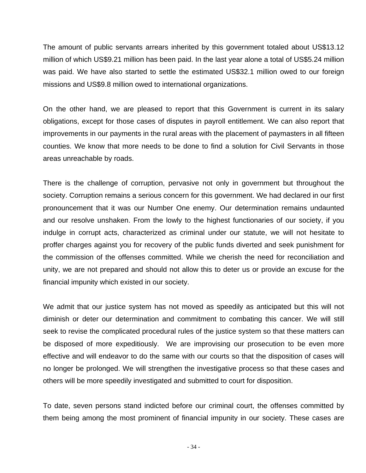The amount of public servants arrears inherited by this government totaled about US\$13.12 million of which US\$9.21 million has been paid. In the last year alone a total of US\$5.24 million was paid. We have also started to settle the estimated US\$32.1 million owed to our foreign missions and US\$9.8 million owed to international organizations.

On the other hand, we are pleased to report that this Government is current in its salary obligations, except for those cases of disputes in payroll entitlement. We can also report that improvements in our payments in the rural areas with the placement of paymasters in all fifteen counties. We know that more needs to be done to find a solution for Civil Servants in those areas unreachable by roads.

There is the challenge of corruption, pervasive not only in government but throughout the society. Corruption remains a serious concern for this government. We had declared in our first pronouncement that it was our Number One enemy. Our determination remains undaunted and our resolve unshaken. From the lowly to the highest functionaries of our society, if you indulge in corrupt acts, characterized as criminal under our statute, we will not hesitate to proffer charges against you for recovery of the public funds diverted and seek punishment for the commission of the offenses committed. While we cherish the need for reconciliation and unity, we are not prepared and should not allow this to deter us or provide an excuse for the financial impunity which existed in our society.

We admit that our justice system has not moved as speedily as anticipated but this will not diminish or deter our determination and commitment to combating this cancer. We will still seek to revise the complicated procedural rules of the justice system so that these matters can be disposed of more expeditiously. We are improvising our prosecution to be even more effective and will endeavor to do the same with our courts so that the disposition of cases will no longer be prolonged. We will strengthen the investigative process so that these cases and others will be more speedily investigated and submitted to court for disposition.

To date, seven persons stand indicted before our criminal court, the offenses committed by them being among the most prominent of financial impunity in our society. These cases are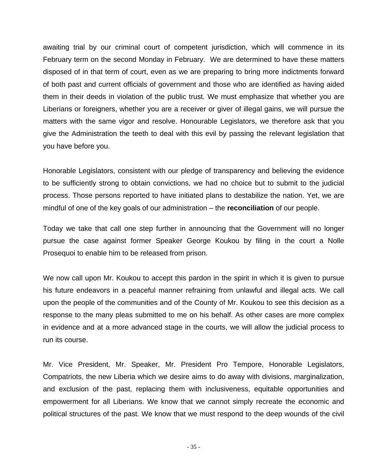awaiting trial by our criminal court of competent jurisdiction, which will commence in its February term on the second Monday in February. We are determined to have these matters disposed of in that term of court, even as we are preparing to bring more indictments forward of both past and current officials of government and those who are identified as having aided them in their deeds in violation of the public trust. We must emphasize that whether you are Liberians or foreigners, whether you are a receiver or giver of illegal gains, we will pursue the matters with the same vigor and resolve. Honourable Legislators, we therefore ask that you give the Administration the teeth to deal with this evil by passing the relevant legislation that you have before you.

Honorable Legislators, consistent with our pledge of transparency and believing the evidence to be sufficiently strong to obtain convictions, we had no choice but to submit to the judicial process. Those persons reported to have initiated plans to destabilize the nation. Yet, we are mindful of one of the key goals of our administration – the **reconciliation** of our people.

Today we take that call one step further in announcing that the Government will no longer pursue the case against former Speaker George Koukou by filing in the court a Nolle Prosequoi to enable him to be released from prison.

We now call upon Mr. Koukou to accept this pardon in the spirit in which it is given to pursue his future endeavors in a peaceful manner refraining from unlawful and illegal acts. We call upon the people of the communities and of the County of Mr. Koukou to see this decision as a response to the many pleas submitted to me on his behalf. As other cases are more complex in evidence and at a more advanced stage in the courts, we will allow the judicial process to run its course.

Mr. Vice President, Mr. Speaker, Mr. President Pro Tempore, Honorable Legislators, Compatriots, the new Liberia which we desire aims to do away with divisions, marginalization, and exclusion of the past, replacing them with inclusiveness, equitable opportunities and empowerment for all Liberians. We know that we cannot simply recreate the economic and political structures of the past. We know that we must respond to the deep wounds of the civil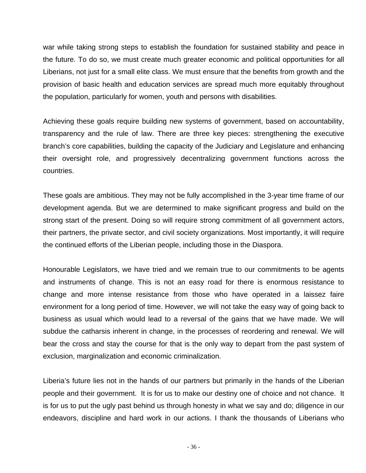war while taking strong steps to establish the foundation for sustained stability and peace in the future. To do so, we must create much greater economic and political opportunities for all Liberians, not just for a small elite class. We must ensure that the benefits from growth and the provision of basic health and education services are spread much more equitably throughout the population, particularly for women, youth and persons with disabilities.

Achieving these goals require building new systems of government, based on accountability, transparency and the rule of law. There are three key pieces: strengthening the executive branch's core capabilities, building the capacity of the Judiciary and Legislature and enhancing their oversight role, and progressively decentralizing government functions across the countries.

These goals are ambitious. They may not be fully accomplished in the 3-year time frame of our development agenda. But we are determined to make significant progress and build on the strong start of the present. Doing so will require strong commitment of all government actors, their partners, the private sector, and civil society organizations. Most importantly, it will require the continued efforts of the Liberian people, including those in the Diaspora.

Honourable Legislators, we have tried and we remain true to our commitments to be agents and instruments of change. This is not an easy road for there is enormous resistance to change and more intense resistance from those who have operated in a laissez faire environment for a long period of time. However, we will not take the easy way of going back to business as usual which would lead to a reversal of the gains that we have made. We will subdue the catharsis inherent in change, in the processes of reordering and renewal. We will bear the cross and stay the course for that is the only way to depart from the past system of exclusion, marginalization and economic criminalization.

Liberia's future lies not in the hands of our partners but primarily in the hands of the Liberian people and their government. It is for us to make our destiny one of choice and not chance. It is for us to put the ugly past behind us through honesty in what we say and do; diligence in our endeavors, discipline and hard work in our actions. I thank the thousands of Liberians who